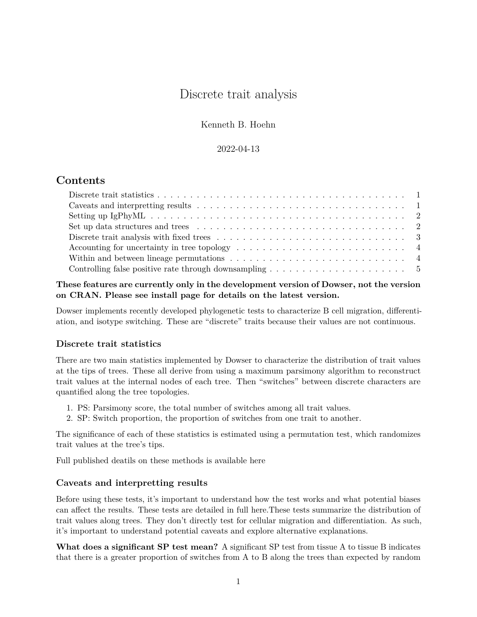# Discrete trait analysis

Kenneth B. Hoehn

# 2022-04-13

# **Contents**

| Accounting for uncertainty in tree topology $\dots \dots \dots \dots \dots \dots \dots \dots \dots \dots$ |  |
|-----------------------------------------------------------------------------------------------------------|--|
| Within and between lineage permutations $\ldots \ldots \ldots \ldots \ldots \ldots \ldots \ldots \ldots$  |  |
| Controlling false positive rate through downsampling $\dots \dots \dots \dots \dots \dots \dots \dots$    |  |

**These features are currently only in the development version of Dowser, not the version on CRAN. Please see install page for details on the latest version.**

Dowser implements recently developed phylogenetic tests to characterize B cell migration, differentiation, and isotype switching. These are "discrete" traits because their values are not continuous.

# <span id="page-0-0"></span>**Discrete trait statistics**

There are two main statistics implemented by Dowser to characterize the distribution of trait values at the tips of trees. These all derive from using a maximum parsimony algorithm to reconstruct trait values at the internal nodes of each tree. Then "switches" between discrete characters are quantified along the tree topologies.

- 1. PS: Parsimony score, the total number of switches among all trait values.
- 2. SP: Switch proportion, the proportion of switches from one trait to another.

The significance of each of these statistics is estimated using a permutation test, which randomizes trait values at the tree's tips.

<span id="page-0-2"></span>[Full published deatils on these methods is available here](https://doi.org/10.1101/2020.05.30.124446)

# <span id="page-0-1"></span>**Caveats and interpretting results**

Before using these tests, it's important to understand how the test works and what potential biases can affect the results. [These tests are detailed in full here.](https://doi.org/10.1101/2020.05.30.124446)These tests summarize the distribution of trait values along trees. They don't directly test for cellular migration and differentiation. As such, it's important to understand potential caveats and explore alternative explanations.

**What does a significant SP test mean?** A significant SP test from tissue A to tissue B indicates that there is a greater proportion of switches from A to B along the trees than expected by random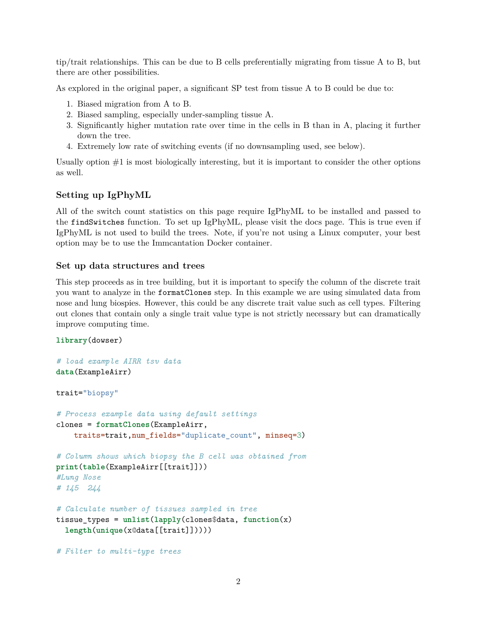tip/trait relationships. This can be due to B cells preferentially migrating from tissue A to B, but there are other possibilities.

As explored in the original paper, a significant SP test from tissue A to B could be due to:

- 1. Biased migration from A to B.
- 2. Biased sampling, especially under-sampling tissue A.
- 3. Significantly higher mutation rate over time in the cells in B than in A, placing it further down the tree.
- 4. Extremely low rate of switching events (if no downsampling used, see below).

Usually option  $#1$  is most biologically interesting, but it is important to consider the other options as well.

### <span id="page-1-0"></span>**Setting up IgPhyML**

All of the switch count statistics on this page require IgPhyML to be installed and passed to the findSwitches function. To set up IgPhyML, please [visit the docs page.](https://igphyml.readthedocs.io) This is true even if IgPhyML is not used to build the trees. Note, if you're not using a Linux computer, your best option may be to use the [Immcantation Docker container.](https://igphyml.readthedocs.io/en/latest/install.html#docker-image-recommended)

#### <span id="page-1-1"></span>**Set up data structures and trees**

This step proceeds as in tree building, but it is important to specify the column of the discrete trait you want to analyze in the formatClones step. In this example we are using simulated data from nose and lung biospies. However, this could be any discrete trait value such as cell types. Filtering out clones that contain only a single trait value type is not strictly necessary but can dramatically improve computing time.

#### **library**(dowser)

```
# load example AIRR tsv data
data(ExampleAirr)
trait="biopsy"
# Process example data using default settings
clones = formatClones(ExampleAirr,
    traits=trait,num_fields="duplicate_count", minseq=3)
# Column shows which biopsy the B cell was obtained from
print(table(ExampleAirr[[trait]]))
#Lung Nose
# 145 244
# Calculate number of tissues sampled in tree
tissue_types = unlist(lapply(clones$data, function(x)
  length(unique(x@data[[trait]]))))
```
*# Filter to multi-type trees*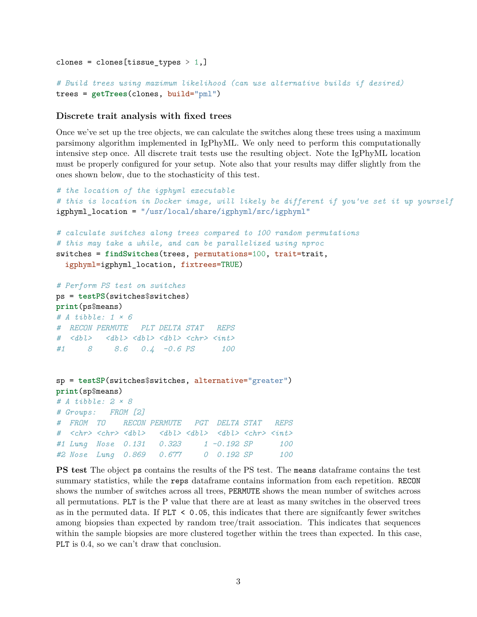```
clones = clones[tissue_types > 1,]
# Build trees using maximum likelihood (can use alternative builds if desired)
trees = getTrees(clones, build="pml")
```
#### <span id="page-2-0"></span>**Discrete trait analysis with fixed trees**

Once we've set up the tree objects, we can calculate the switches along these trees using a maximum parsimony algorithm implemented in IgPhyML. We only need to perform this computationally intensive step once. All discrete trait tests use the resulting object. Note the IgPhyML location must be properly configured for your setup. Note also that your results may differ slightly from the ones shown below, due to the stochasticity of this test.

```
# the location of the igphyml executable
# this is location in Docker image, will likely be different if you've set it up yourself
igphyml_location = "/usr/local/share/igphyml/src/igphyml"
# calculate switches along trees compared to 100 random permutations
# this may take a while, and can be parallelized using nproc
switches = findSwitches(trees, permutations=100, trait=trait,
  igphyml=igphyml_location, fixtrees=TRUE)
# Perform PS test on switches
ps = testPS(switches$switches)
print(ps$means)
# A tibble: 1 × 6
# RECON PERMUTE PLT DELTA STAT REPS
# <dbl> <dbl> <dbl> <dbl> <chr> <int>
#1 8 8.6 0.4 -0.6 PS 100
sp = testSP(switches$switches, alternative="greater")
print(sp$means)
# A tibble: 2 × 8
# Groups: FROM [2]
# FROM TO RECON PERMUTE PGT DELTA STAT REPS
# <chr> <chr> <dbl> <dbl> <dbl> <dbl> <chr> <int>
#1 Lung Nose 0.131 0.323 1 -0.192 SP 100
```
**PS test** The object ps contains the results of the PS test. The means dataframe contains the test summary statistics, while the reps dataframe contains information from each repetition. RECON shows the number of switches across all trees, PERMUTE shows the mean number of switches across all permutations. PLT is the P value that there are at least as many switches in the observed trees as in the permuted data. If  $PLT < 0.05$ , this indicates that there are significantly fewer switches among biopsies than expected by random tree/trait association. This indicates that sequences within the sample biopsies are more clustered together within the trees than expected. In this case, PLT is 0.4, so we can't draw that conclusion.

*#2 Nose Lung 0.869 0.677 0 0.192 SP 100*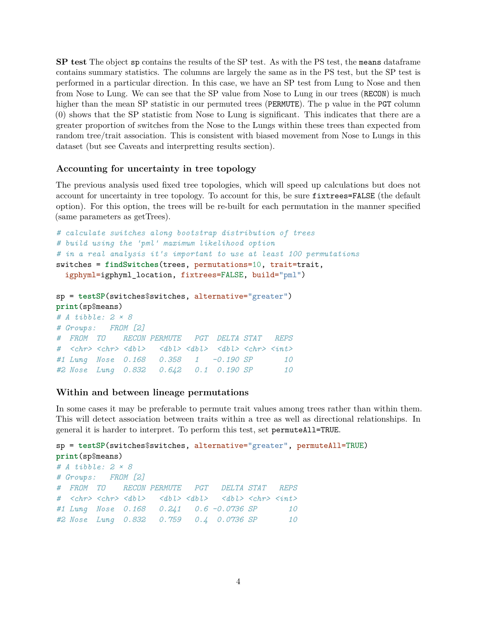**SP test** The object sp contains the results of the SP test. As with the PS test, the means dataframe contains summary statistics. The columns are largely the same as in the PS test, but the SP test is performed in a particular direction. In this case, we have an SP test from Lung to Nose and then from Nose to Lung. We can see that the SP value from Nose to Lung in our trees (RECON) is much higher than the mean SP statistic in our permuted trees (PERMUTE). The p value in the PGT column (0) shows that the SP statistic from Nose to Lung is significant. This indicates that there are a greater proportion of switches from the Nose to the Lungs within these trees than expected from random tree/trait association. This is consistent with biased movement from Nose to Lungs in this dataset (but see [Caveats and interpretting results](#page-0-2) section).

#### <span id="page-3-0"></span>**Accounting for uncertainty in tree topology**

The previous analysis used fixed tree topologies, which will speed up calculations but does not account for uncertainty in tree topology. To account for this, be sure fixtrees=FALSE (the default option). For this option, the trees will be re-built for each permutation in the manner specified (same parameters as getTrees).

```
# calculate switches along bootstrap distribution of trees
# build using the 'pml' maximum likelihood option
# in a real analysis it's important to use at least 100 permutations
switches = findSwitches(trees, permutations=10, trait=trait,
  igphyml=igphyml location, fixtrees=FALSE, build="pml")
```

```
sp = testSP(switches$switches, alternative="greater")
print(sp$means)
# A tibble: 2 × 8
# Groups: FROM [2]
# FROM TO RECON PERMUTE PGT DELTA STAT REPS
# <chr> <chr> <dbl> <dbl> <dbl> <dbl> <chr> <int>
#1 Lung Nose 0.168 0.358 1 -0.190 SP 10
#2 Nose Lung 0.832 0.642 0.1 0.190 SP 10
```
#### <span id="page-3-1"></span>**Within and between lineage permutations**

In some cases it may be preferable to permute trait values among trees rather than within them. This will detect association between traits within a tree as well as directional relationships. In general it is harder to interpret. To perform this test, set permuteAll=TRUE.

```
sp = testSP(switches$switches, alternative="greater", permuteAll=TRUE)
print(sp$means)
# A tibble: 2 × 8
# Groups: FROM [2]
# FROM TO RECON PERMUTE PGT DELTA STAT REPS
# <chr> <chr> <dbl> <dbl> <dbl> <dbl> <chr> <int>
#1 Lung Nose 0.168 0.241 0.6 -0.0736 SP 10
#2 Nose Lung 0.832 0.759 0.4 0.0736 SP 10
```